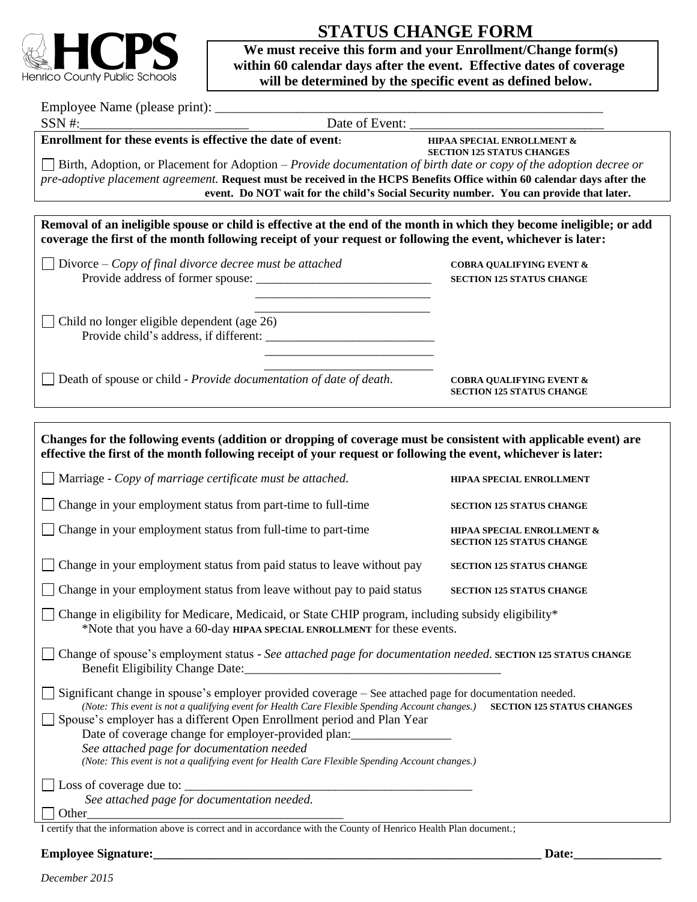

# **STATUS CHANGE FORM**

 **We must receive this form and your Enrollment/Change form(s) within 60 calendar days after the event. Effective dates of coverage will be determined by the specific event as defined below.**

| Employee Name (please print): |  |
|-------------------------------|--|
|                               |  |

SSN #:

**Enrollment for these events is effective the date of event:** HIPAA SPECIAL ENROLLMENT &

**SECTION 125 STATUS CHANGES**

Birth, Adoption, or Placement for Adoption – *Provide documentation of birth date or copy of the adoption decree or pre-adoptive placement agreement.* **Request must be received in the HCPS Benefits Office within 60 calendar days after the event. Do NOT wait for the child's Social Security number. You can provide that later.** 

**Removal of an ineligible spouse or child is effective at the end of the month in which they become ineligible; or add coverage the first of the month following receipt of your request or following the event, whichever is later:**

 $\frac{1}{\sqrt{2}}$  ,  $\frac{1}{\sqrt{2}}$  ,  $\frac{1}{\sqrt{2}}$  ,  $\frac{1}{\sqrt{2}}$  ,  $\frac{1}{\sqrt{2}}$  ,  $\frac{1}{\sqrt{2}}$  ,  $\frac{1}{\sqrt{2}}$  ,  $\frac{1}{\sqrt{2}}$  ,  $\frac{1}{\sqrt{2}}$  ,  $\frac{1}{\sqrt{2}}$  ,  $\frac{1}{\sqrt{2}}$  ,  $\frac{1}{\sqrt{2}}$  ,  $\frac{1}{\sqrt{2}}$  ,  $\frac{1}{\sqrt{2}}$  ,  $\frac{1}{\sqrt{2}}$ 

 $\frac{1}{\sqrt{2}}$  ,  $\frac{1}{\sqrt{2}}$  ,  $\frac{1}{\sqrt{2}}$  ,  $\frac{1}{\sqrt{2}}$  ,  $\frac{1}{\sqrt{2}}$  ,  $\frac{1}{\sqrt{2}}$  ,  $\frac{1}{\sqrt{2}}$  ,  $\frac{1}{\sqrt{2}}$  ,  $\frac{1}{\sqrt{2}}$  ,  $\frac{1}{\sqrt{2}}$  ,  $\frac{1}{\sqrt{2}}$  ,  $\frac{1}{\sqrt{2}}$  ,  $\frac{1}{\sqrt{2}}$  ,  $\frac{1}{\sqrt{2}}$  ,  $\frac{1}{\sqrt{2}}$ 

Divorce – *Copy of final divorce decree must be attached* **COBRA QUALIFYING EVENT &** Provide address of former spouse: \_\_\_\_\_\_\_\_\_\_\_\_\_\_\_\_\_\_\_\_\_\_\_\_\_\_\_\_ **SECTION 125 STATUS CHANGE**

 $\frac{1}{\sqrt{2}}$  ,  $\frac{1}{\sqrt{2}}$  ,  $\frac{1}{\sqrt{2}}$  ,  $\frac{1}{\sqrt{2}}$  ,  $\frac{1}{\sqrt{2}}$  ,  $\frac{1}{\sqrt{2}}$  ,  $\frac{1}{\sqrt{2}}$  ,  $\frac{1}{\sqrt{2}}$  ,  $\frac{1}{\sqrt{2}}$  ,  $\frac{1}{\sqrt{2}}$  ,  $\frac{1}{\sqrt{2}}$  ,  $\frac{1}{\sqrt{2}}$  ,  $\frac{1}{\sqrt{2}}$  ,  $\frac{1}{\sqrt{2}}$  ,  $\frac{1}{\sqrt{2}}$ Child no longer eligible dependent (age  $26$ ) Provide child's address, if different:  $\frac{1}{2}$  ,  $\frac{1}{2}$  ,  $\frac{1}{2}$  ,  $\frac{1}{2}$  ,  $\frac{1}{2}$  ,  $\frac{1}{2}$  ,  $\frac{1}{2}$  ,  $\frac{1}{2}$  ,  $\frac{1}{2}$  ,  $\frac{1}{2}$  ,  $\frac{1}{2}$  ,  $\frac{1}{2}$  ,  $\frac{1}{2}$  ,  $\frac{1}{2}$  ,  $\frac{1}{2}$  ,  $\frac{1}{2}$  ,  $\frac{1}{2}$  ,  $\frac{1}{2}$  ,  $\frac{1$ 

Death of spouse or child - *Provide documentation of date of death*. **COBRA QUALIFYING EVENT &**

**SECTION 125 STATUS CHANGE**

**Changes for the following events (addition or dropping of coverage must be consistent with applicable event) are effective the first of the month following receipt of your request or following the event, whichever is later:** Marriage - *Copy of marriage certificate must be attached.* **HIPAA SPECIAL ENROLLMENT** Change in your employment status from part-time to full-time **SECTION 125 STATUS CHANGE** Change in your employment status from full-time to part-time **HIPAA SPECIAL ENROLLMENT & SECTION 125 STATUS CHANGE** Change in your employment status from paid status to leave without pay **SECTION 125 STATUS CHANGE** The Change in your employment status from leave without pay to paid status **SECTION 125 STATUS CHANGE** Change in eligibility for Medicare, Medicaid, or State CHIP program, including subsidy eligibility\* \*Note that you have a 60-day **HIPAA SPECIAL ENROLLMENT** for these events. Change of spouse's employment status - *See attached page for documentation needed.* **SECTION 125 STATUS CHANGE** Benefit Eligibility Change Date: Significant change in spouse's employer provided coverage – See attached page for documentation needed. *(Note: This event is not a qualifying event for Health Care Flexible Spending Account changes.)* **SECTION 125 STATUS CHANGES** Spouse's employer has a different Open Enrollment period and Plan Year Date of coverage change for employer-provided plan: *See attached page for documentation needed (Note: This event is not a qualifying event for Health Care Flexible Spending Account changes.)*  $\Box$  Loss of coverage due to: *See attached page for documentation needed.* Other\_\_\_\_\_\_\_\_\_\_\_\_\_\_\_\_\_\_\_\_\_\_\_\_\_\_\_\_\_\_\_\_\_\_\_\_\_\_\_\_\_

I certify that the information above is correct and in accordance with the County of Henrico Health Plan document.;

#### **Employee Signature: Constant Constant Constant Constant Constant Constant Constant Constant Constant Constant Constant Constant Constant Constant Constant Constant Constant Constant Constant Constant Constant Constant C**